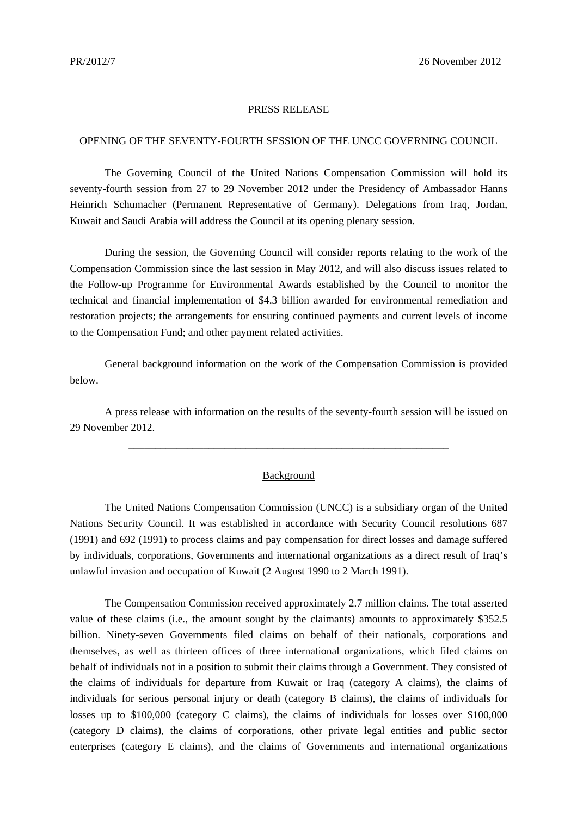## PRESS RELEASE

## OPENING OF THE SEVENTY-FOURTH SESSION OF THE UNCC GOVERNING COUNCIL

The Governing Council of the United Nations Compensation Commission will hold its seventy-fourth session from 27 to 29 November 2012 under the Presidency of Ambassador Hanns Heinrich Schumacher (Permanent Representative of Germany). Delegations from Iraq, Jordan, Kuwait and Saudi Arabia will address the Council at its opening plenary session.

During the session, the Governing Council will consider reports relating to the work of the Compensation Commission since the last session in May 2012, and will also discuss issues related to the Follow-up Programme for Environmental Awards established by the Council to monitor the technical and financial implementation of \$4.3 billion awarded for environmental remediation and restoration projects; the arrangements for ensuring continued payments and current levels of income to the Compensation Fund; and other payment related activities.

 General background information on the work of the Compensation Commission is provided below.

 A press release with information on the results of the seventy-fourth session will be issued on 29 November 2012.

\_\_\_\_\_\_\_\_\_\_\_\_\_\_\_\_\_\_\_\_\_\_\_\_\_\_\_\_\_\_\_\_\_\_\_\_\_\_\_\_\_\_\_\_\_\_\_\_\_\_\_\_\_\_\_\_\_\_\_\_

## Background

 The United Nations Compensation Commission (UNCC) is a subsidiary organ of the United Nations Security Council. It was established in accordance with Security Council resolutions 687 (1991) and 692 (1991) to process claims and pay compensation for direct losses and damage suffered by individuals, corporations, Governments and international organizations as a direct result of Iraq's unlawful invasion and occupation of Kuwait (2 August 1990 to 2 March 1991).

 The Compensation Commission received approximately 2.7 million claims. The total asserted value of these claims (i.e., the amount sought by the claimants) amounts to approximately \$352.5 billion. Ninety-seven Governments filed claims on behalf of their nationals, corporations and themselves, as well as thirteen offices of three international organizations, which filed claims on behalf of individuals not in a position to submit their claims through a Government. They consisted of the claims of individuals for departure from Kuwait or Iraq (category A claims), the claims of individuals for serious personal injury or death (category B claims), the claims of individuals for losses up to \$100,000 (category C claims), the claims of individuals for losses over \$100,000 (category D claims), the claims of corporations, other private legal entities and public sector enterprises (category E claims), and the claims of Governments and international organizations